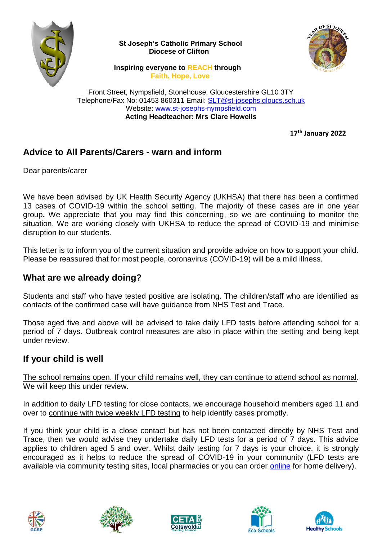

 **St Joseph's Catholic Primary School Diocese of Clifton**



 **Inspiring everyone to REACH through Faith, Hope, Love**

Front Street, Nympsfield, Stonehouse, Gloucestershire GL10 3TY Telephone/Fax No: 01453 860311 Email: [SLT@st-josephs.gloucs.sch.uk](mailto:SLT@st-josephs.gloucs.sch.uk) Website: [www.st-josephs-nympsfield.com](http://www.st-josephs-nympsfield.com/) **Acting Headteacher: Mrs Clare Howells**

**17th January 2022**

## **Advice to All Parents/Carers - warn and inform**

Dear parents/carer

We have been advised by UK Health Security Agency (UKHSA) that there has been a confirmed 13 cases of COVID-19 within the school setting. The majority of these cases are in one year group**.** We appreciate that you may find this concerning, so we are continuing to monitor the situation. We are working closely with UKHSA to reduce the spread of COVID-19 and minimise disruption to our students.

This letter is to inform you of the current situation and provide advice on how to support your child. Please be reassured that for most people, coronavirus (COVID-19) will be a mild illness.

## **What are we already doing?**

Students and staff who have tested positive are isolating. The children/staff who are identified as contacts of the confirmed case will have guidance from NHS Test and Trace.

Those aged five and above will be advised to take daily LFD tests before attending school for a period of 7 days. Outbreak control measures are also in place within the setting and being kept under review.

## **If your child is well**

The school remains open. If your child remains well, they can continue to attend school as normal. We will keep this under review.

In addition to daily LFD testing for close contacts, we encourage household members aged 11 and over to continue with twice weekly LFD testing to help identify cases promptly.

If you think your child is a close contact but has not been contacted directly by NHS Test and Trace, then we would advise they undertake daily LFD tests for a period of 7 days. This advice applies to children aged 5 and over. Whilst daily testing for 7 days is your choice, it is strongly encouraged as it helps to reduce the spread of COVID-19 in your community (LFD tests are available via community testing sites, local pharmacies or you can order [online](https://www.gov.uk/order-coronavirus-rapid-lateral-flow-tests) for home delivery).









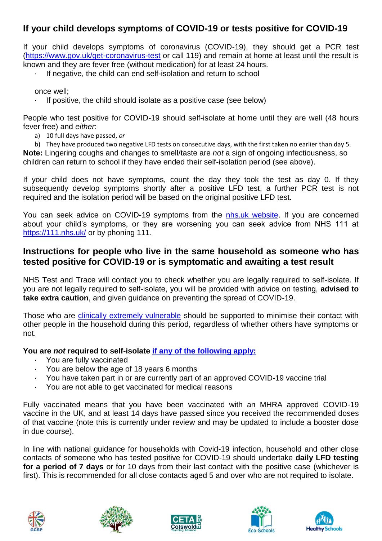# **If your child develops symptoms of COVID-19 or tests positive for COVID-19**

If your child develops symptoms of coronavirus (COVID-19), they should get a PCR test [\(https://www.gov.uk/get-coronavirus-test](https://www.gov.uk/get-coronavirus-test) or call 119) and remain at home at least until the result is known and they are fever free (without medication) for at least 24 hours.

If negative, the child can end self-isolation and return to school

once well;

If positive, the child should isolate as a positive case (see below)

People who test positive for COVID-19 should self-isolate at home until they are well (48 hours fever free) and *either*:

- a) 10 full days have passed, *or*
- b) They have produced two negative LFD tests on consecutive days, with the first taken no earlier than day 5.

**Note:** Lingering coughs and changes to smell/taste are *not* a sign of ongoing infectiousness, so children can return to school if they have ended their self-isolation period (see above).

If your child does not have symptoms, count the day they took the test as day 0. If they subsequently develop symptoms shortly after a positive LFD test, a further PCR test is not required and the isolation period will be based on the original positive LFD test.

You can seek advice on COVID-19 symptoms from the [nhs.uk website.](https://www.nhs.uk/conditions/coronavirus-covid-19/check-if-you-have-coronavirus-symptoms/) If you are concerned about your child's symptoms, or they are worsening you can seek advice from NHS 111 at <https://111.nhs.uk/> or by phoning 111.

### **Instructions for people who live in the same household as someone who has tested positive for COVID-19 or is symptomatic and awaiting a test result**

NHS Test and Trace will contact you to check whether you are legally required to self-isolate. If you are not legally required to self-isolate, you will be provided with advice on testing, **advised to take extra caution**, and given guidance on preventing the spread of COVID-19.

Those who are [clinically extremely vulnerable](https://www.gov.uk/government/publications/guidance-on-shielding-and-protecting-extremely-vulnerable-persons-from-covid-19/guidance-on-shielding-and-protecting-extremely-vulnerable-persons-from-covid-19) should be supported to minimise their contact with other people in the household during this period, regardless of whether others have symptoms or not.

#### **You are** *not* **required to self-isolate if [any of the following apply:](https://www.gov.uk/government/publications/covid-19-stay-at-home-guidance/stay-at-home-guidance-for-households-with-possible-coronavirus-covid-19-infection#exempt)**

- You are fully vaccinated
- · You are below the age of 18 years 6 months
- · You have taken part in or are currently part of an approved COVID-19 vaccine trial
- You are not able to get vaccinated for medical reasons

Fully vaccinated means that you have been vaccinated with an MHRA approved COVID-19 vaccine in the UK, and at least 14 days have passed since you received the recommended doses of that vaccine (note this is currently under review and may be updated to include a booster dose in due course).

In line with national guidance for households with Covid-19 infection, household and other close contacts of someone who has tested positive for COVID-19 should undertake **daily LFD testing for a period of 7 days** or for 10 days from their last contact with the positive case (whichever is first). This is recommended for all close contacts aged 5 and over who are not required to isolate.









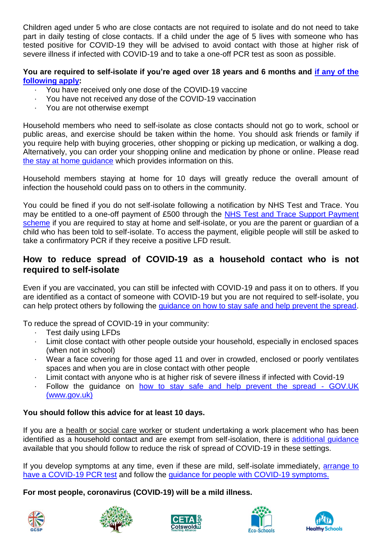Children aged under 5 who are close contacts are not required to isolate and do not need to take part in daily testing of close contacts. If a child under the age of 5 lives with someone who has tested positive for COVID-19 they will be advised to avoid contact with those at higher risk of severe illness if infected with COVID-19 and to take a one-off PCR test as soon as possible.

#### **You are required to self-isolate if you're aged over 18 years and 6 months and [if any of the](https://www.nhs.uk/conditions/coronavirus-covid-19/self-isolation-and-treatment/when-to-self-isolate-and-what-to-do/)  [following apply:](https://www.nhs.uk/conditions/coronavirus-covid-19/self-isolation-and-treatment/when-to-self-isolate-and-what-to-do/)**

- You have received only one dose of the COVID-19 vaccine
- You have not received any dose of the COVID-19 vaccination
- You are not otherwise exempt

Household members who need to self-isolate as close contacts should not go to work, school or public areas, and exercise should be taken within the home. You should ask friends or family if you require help with buying groceries, other shopping or picking up medication, or walking a dog. Alternatively, you can order your shopping online and medication by phone or online. Please read [the stay at home guidance](https://www.gov.uk/government/publications/covid-19-stay-at-home-guidance/stay-at-home-guidance-for-households-with-possible-coronavirus-covid-19-infection) which provides information on this.

Household members staying at home for 10 days will greatly reduce the overall amount of infection the household could pass on to others in the community.

You could be fined if you do not self-isolate following a notification by NHS Test and Trace. You may be entitled to a one-off payment of £500 through the [NHS Test and Trace Support Payment](https://www.gov.uk/government/publications/test-and-trace-support-payment-scheme-claiming-financial-support/claiming-financial-support-under-the-test-and-trace-support-payment-scheme)  [scheme](https://www.gov.uk/government/publications/test-and-trace-support-payment-scheme-claiming-financial-support/claiming-financial-support-under-the-test-and-trace-support-payment-scheme) if you are required to stay at home and self-isolate, or you are the parent or quardian of a child who has been told to self-isolate. To access the payment, eligible people will still be asked to take a confirmatory PCR if they receive a positive LFD result.

## **How to reduce spread of COVID-19 as a household contact who is not required to self-isolate**

Even if you are vaccinated, you can still be infected with COVID-19 and pass it on to others. If you are identified as a contact of someone with COVID-19 but you are not required to self-isolate, you can help protect others by following the [guidance on how to stay safe and help prevent the spread.](https://www.gov.uk/guidance/covid-19-coronavirus-restrictions-what-you-can-and-cannot-do#keeping-yourself-and-others-safe)

To reduce the spread of COVID-19 in your community:

- Test daily using LFDs
- Limit close contact with other people outside your household, especially in enclosed spaces (when not in school)
- · Wear a face covering for those aged 11 and over in crowded, enclosed or poorly ventilates spaces and when you are in close contact with other people
- Limit contact with anyone who is at higher risk of severe illness if infected with Covid-19
- Follow the guidance on how to stay safe and help prevent the spread GOV.UK (www.gov.uk)

### **You should follow this advice for at least 10 days.**

If you are a health or social care worker or student undertaking a work placement who has been identified as a household contact and are exempt from self-isolation, there is additional quidance available that you should follow to reduce the risk of spread of COVID-19 in these settings.

If you develop symptoms at any time, even if these are mild, self-isolate immediately, arrange to [have a COVID-19 PCR](https://www.gov.uk/get-coronavirus-test) test and follow the [guidance for people with COVID-19 symptoms.](https://www.gov.uk/government/publications/covid-19-stay-at-home-guidance/stay-at-home-guidance-for-households-with-possible-coronavirus-covid-19-infection#SymptomsPositiveTest)

**For most people, coronavirus (COVID-19) will be a mild illness.**